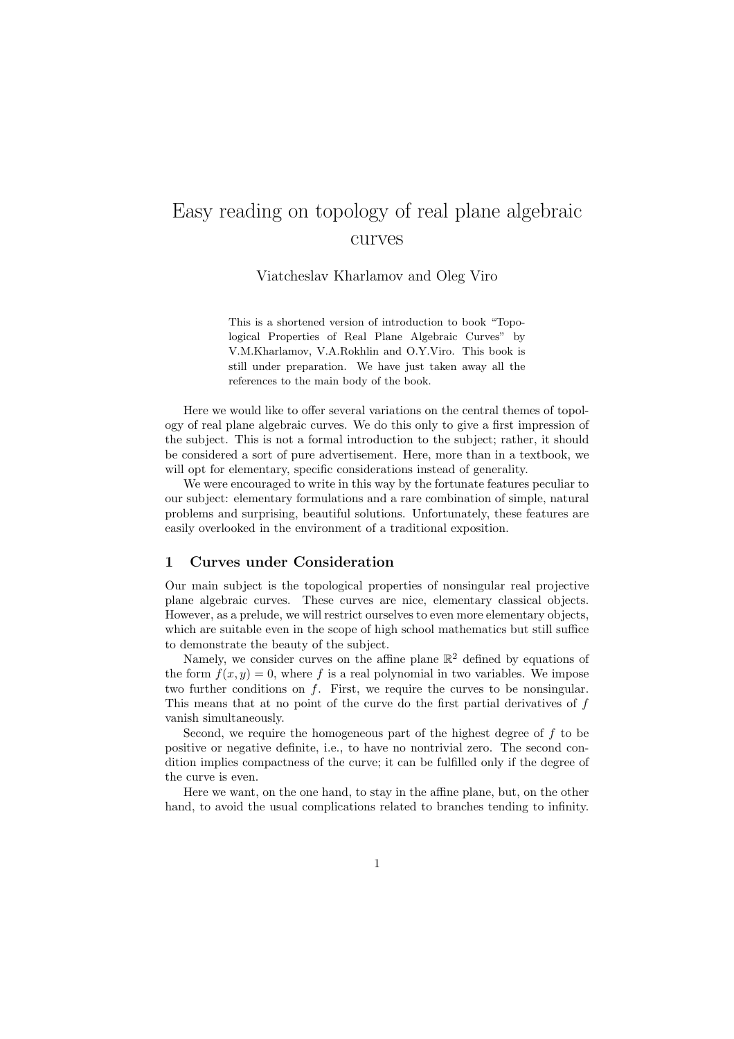# Easy reading on topology of real plane algebraic curves

Viatcheslav Kharlamov and Oleg Viro

This is a shortened version of introduction to book "Topological Properties of Real Plane Algebraic Curves" by V.M.Kharlamov, V.A.Rokhlin and O.Y.Viro. This book is still under preparation. We have just taken away all the references to the main body of the book.

Here we would like to offer several variations on the central themes of topology of real plane algebraic curves. We do this only to give a first impression of the subject. This is not a formal introduction to the subject; rather, it should be considered a sort of pure advertisement. Here, more than in a textbook, we will opt for elementary, specific considerations instead of generality.

We were encouraged to write in this way by the fortunate features peculiar to our subject: elementary formulations and a rare combination of simple, natural problems and surprising, beautiful solutions. Unfortunately, these features are easily overlooked in the environment of a traditional exposition.

## 1 Curves under Consideration

Our main subject is the topological properties of nonsingular real projective plane algebraic curves. These curves are nice, elementary classical objects. However, as a prelude, we will restrict ourselves to even more elementary objects, which are suitable even in the scope of high school mathematics but still suffice to demonstrate the beauty of the subject.

Namely, we consider curves on the affine plane  $\mathbb{R}^2$  defined by equations of the form  $f(x, y) = 0$ , where f is a real polynomial in two variables. We impose two further conditions on f. First, we require the curves to be nonsingular. This means that at no point of the curve do the first partial derivatives of  $f$ vanish simultaneously.

Second, we require the homogeneous part of the highest degree of  $f$  to be positive or negative definite, i.e., to have no nontrivial zero. The second condition implies compactness of the curve; it can be fulfilled only if the degree of the curve is even.

Here we want, on the one hand, to stay in the affine plane, but, on the other hand, to avoid the usual complications related to branches tending to infinity.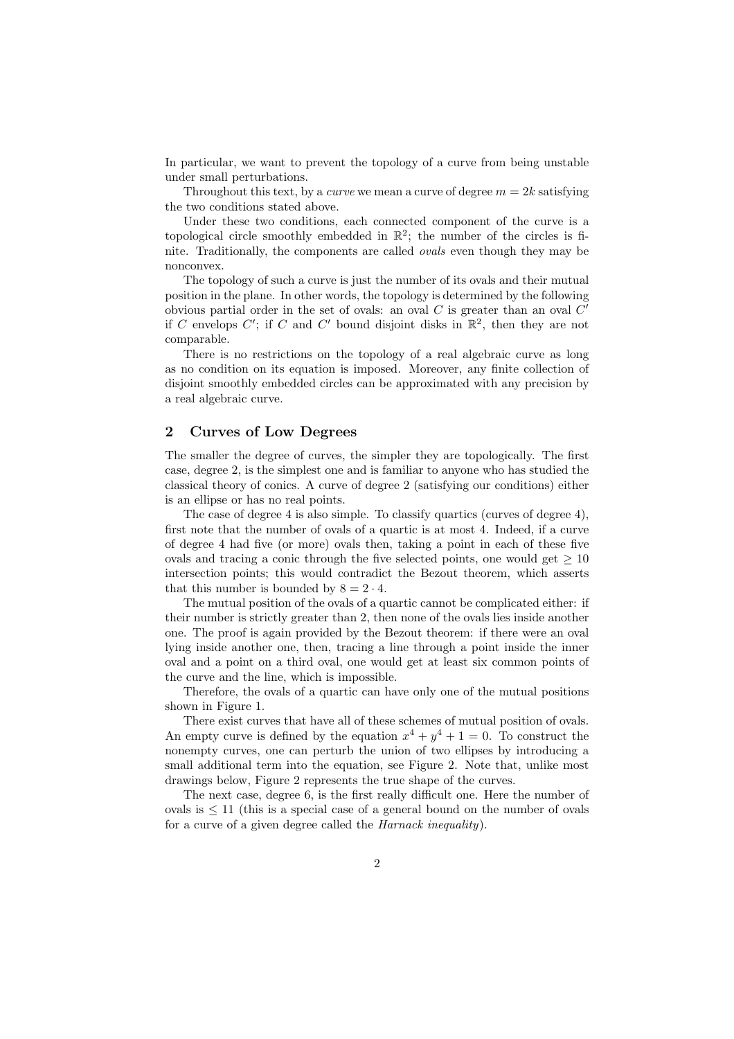In particular, we want to prevent the topology of a curve from being unstable under small perturbations.

Throughout this text, by a *curve* we mean a curve of degree  $m = 2k$  satisfying the two conditions stated above.

Under these two conditions, each connected component of the curve is a topological circle smoothly embedded in  $\mathbb{R}^2$ ; the number of the circles is finite. Traditionally, the components are called ovals even though they may be nonconvex.

The topology of such a curve is just the number of its ovals and their mutual position in the plane. In other words, the topology is determined by the following obvious partial order in the set of ovals: an oval  $C$  is greater than an oval  $C'$ if C envelops C'; if C and C' bound disjoint disks in  $\mathbb{R}^2$ , then they are not comparable.

There is no restrictions on the topology of a real algebraic curve as long as no condition on its equation is imposed. Moreover, any finite collection of disjoint smoothly embedded circles can be approximated with any precision by a real algebraic curve.

#### 2 Curves of Low Degrees

The smaller the degree of curves, the simpler they are topologically. The first case, degree 2, is the simplest one and is familiar to anyone who has studied the classical theory of conics. A curve of degree 2 (satisfying our conditions) either is an ellipse or has no real points.

The case of degree 4 is also simple. To classify quartics (curves of degree 4), first note that the number of ovals of a quartic is at most 4. Indeed, if a curve of degree 4 had five (or more) ovals then, taking a point in each of these five ovals and tracing a conic through the five selected points, one would get  $\geq 10$ intersection points; this would contradict the Bezout theorem, which asserts that this number is bounded by  $8 = 2 \cdot 4$ .

The mutual position of the ovals of a quartic cannot be complicated either: if their number is strictly greater than 2, then none of the ovals lies inside another one. The proof is again provided by the Bezout theorem: if there were an oval lying inside another one, then, tracing a line through a point inside the inner oval and a point on a third oval, one would get at least six common points of the curve and the line, which is impossible.

Therefore, the ovals of a quartic can have only one of the mutual positions shown in Figure 1.

There exist curves that have all of these schemes of mutual position of ovals. An empty curve is defined by the equation  $x^4 + y^4 + 1 = 0$ . To construct the nonempty curves, one can perturb the union of two ellipses by introducing a small additional term into the equation, see Figure 2. Note that, unlike most drawings below, Figure 2 represents the true shape of the curves.

The next case, degree 6, is the first really difficult one. Here the number of ovals is ≤ 11 (this is a special case of a general bound on the number of ovals for a curve of a given degree called the Harnack inequality).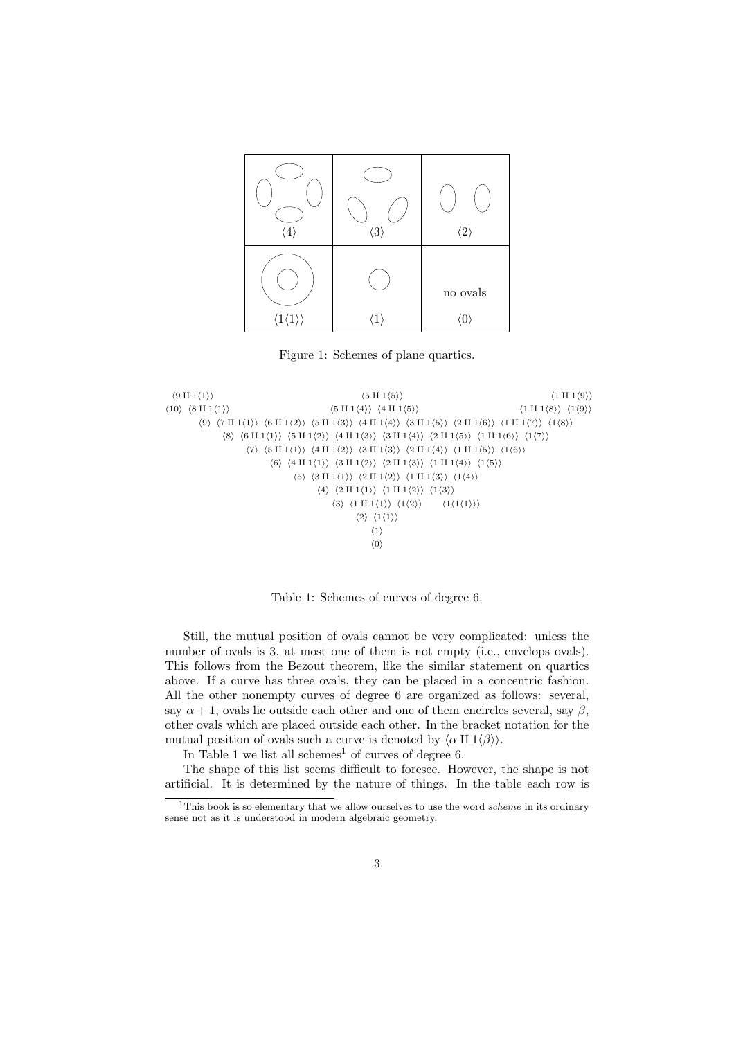

Figure 1: Schemes of plane quartics.



Table 1: Schemes of curves of degree 6.

Still, the mutual position of ovals cannot be very complicated: unless the number of ovals is 3, at most one of them is not empty (i.e., envelops ovals). This follows from the Bezout theorem, like the similar statement on quartics above. If a curve has three ovals, they can be placed in a concentric fashion. All the other nonempty curves of degree 6 are organized as follows: several, say  $\alpha + 1$ , ovals lie outside each other and one of them encircles several, say  $\beta$ , other ovals which are placed outside each other. In the bracket notation for the mutual position of ovals such a curve is denoted by  $\langle \alpha \amalg 1 \langle \beta \rangle \rangle$ .

In Table 1 we list all schemes<sup>1</sup> of curves of degree 6.

The shape of this list seems difficult to foresee. However, the shape is not artificial. It is determined by the nature of things. In the table each row is

<sup>&</sup>lt;sup>1</sup>This book is so elementary that we allow ourselves to use the word *scheme* in its ordinary sense not as it is understood in modern algebraic geometry.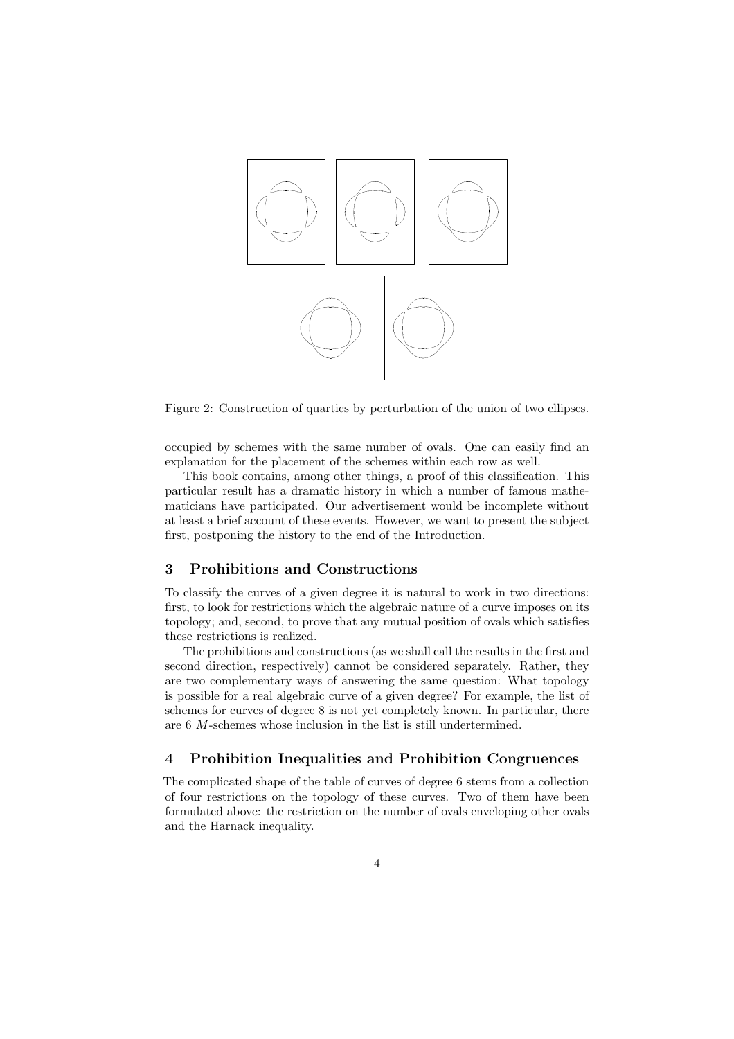

Figure 2: Construction of quartics by perturbation of the union of two ellipses.

occupied by schemes with the same number of ovals. One can easily find an explanation for the placement of the schemes within each row as well.

This book contains, among other things, a proof of this classification. This particular result has a dramatic history in which a number of famous mathematicians have participated. Our advertisement would be incomplete without at least a brief account of these events. However, we want to present the subject first, postponing the history to the end of the Introduction.

## 3 Prohibitions and Constructions

To classify the curves of a given degree it is natural to work in two directions: first, to look for restrictions which the algebraic nature of a curve imposes on its topology; and, second, to prove that any mutual position of ovals which satisfies these restrictions is realized.

The prohibitions and constructions (as we shall call the results in the first and second direction, respectively) cannot be considered separately. Rather, they are two complementary ways of answering the same question: What topology is possible for a real algebraic curve of a given degree? For example, the list of schemes for curves of degree 8 is not yet completely known. In particular, there are 6 M-schemes whose inclusion in the list is still undertermined.

#### 4 Prohibition Inequalities and Prohibition Congruences

The complicated shape of the table of curves of degree 6 stems from a collection of four restrictions on the topology of these curves. Two of them have been formulated above: the restriction on the number of ovals enveloping other ovals and the Harnack inequality.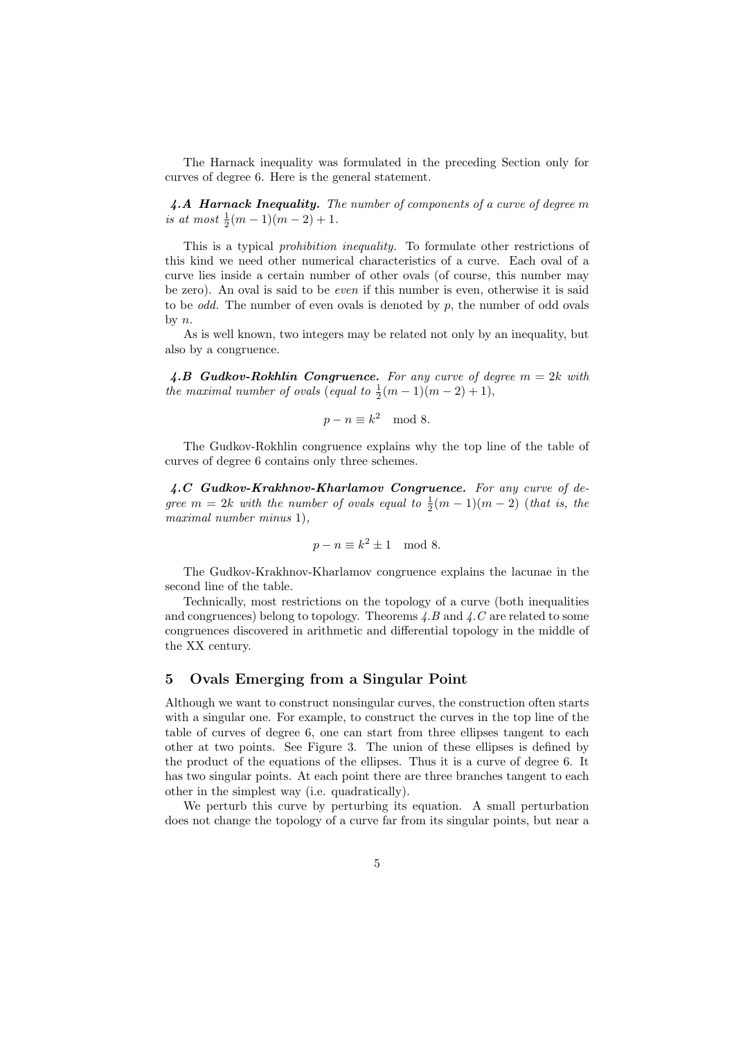The Harnack inequality was formulated in the preceding Section only for curves of degree 6. Here is the general statement.

4.A Harnack Inequality. The number of components of a curve of degree m is at most  $\frac{1}{2}(m-1)(m-2)+1$ .

This is a typical prohibition inequality. To formulate other restrictions of this kind we need other numerical characteristics of a curve. Each oval of a curve lies inside a certain number of other ovals (of course, this number may be zero). An oval is said to be even if this number is even, otherwise it is said to be *odd*. The number of even ovals is denoted by  $p$ , the number of odd ovals by n.

As is well known, two integers may be related not only by an inequality, but also by a congruence.

4.B Gudkov-Rokhlin Congruence. For any curve of degree  $m = 2k$  with the maximal number of ovals (equal to  $\frac{1}{2}(m-1)(m-2)+1$ ),

$$
p - n \equiv k^2 \mod 8.
$$

The Gudkov-Rokhlin congruence explains why the top line of the table of curves of degree 6 contains only three schemes.

4.C Gudkov-Krakhnov-Kharlamov Congruence. For any curve of degree  $m = 2k$  with the number of ovals equal to  $\frac{1}{2}(m-1)(m-2)$  (that is, the maximal number minus 1),

$$
p - n \equiv k^2 \pm 1 \mod 8.
$$

The Gudkov-Krakhnov-Kharlamov congruence explains the lacunae in the second line of the table.

Technically, most restrictions on the topology of a curve (both inequalities and congruences) belong to topology. Theorems  $\Lambda, B$  and  $\Lambda, C$  are related to some congruences discovered in arithmetic and differential topology in the middle of the XX century.

#### 5 Ovals Emerging from a Singular Point

Although we want to construct nonsingular curves, the construction often starts with a singular one. For example, to construct the curves in the top line of the table of curves of degree 6, one can start from three ellipses tangent to each other at two points. See Figure 3. The union of these ellipses is defined by the product of the equations of the ellipses. Thus it is a curve of degree 6. It has two singular points. At each point there are three branches tangent to each other in the simplest way (i.e. quadratically).

We perturb this curve by perturbing its equation. A small perturbation does not change the topology of a curve far from its singular points, but near a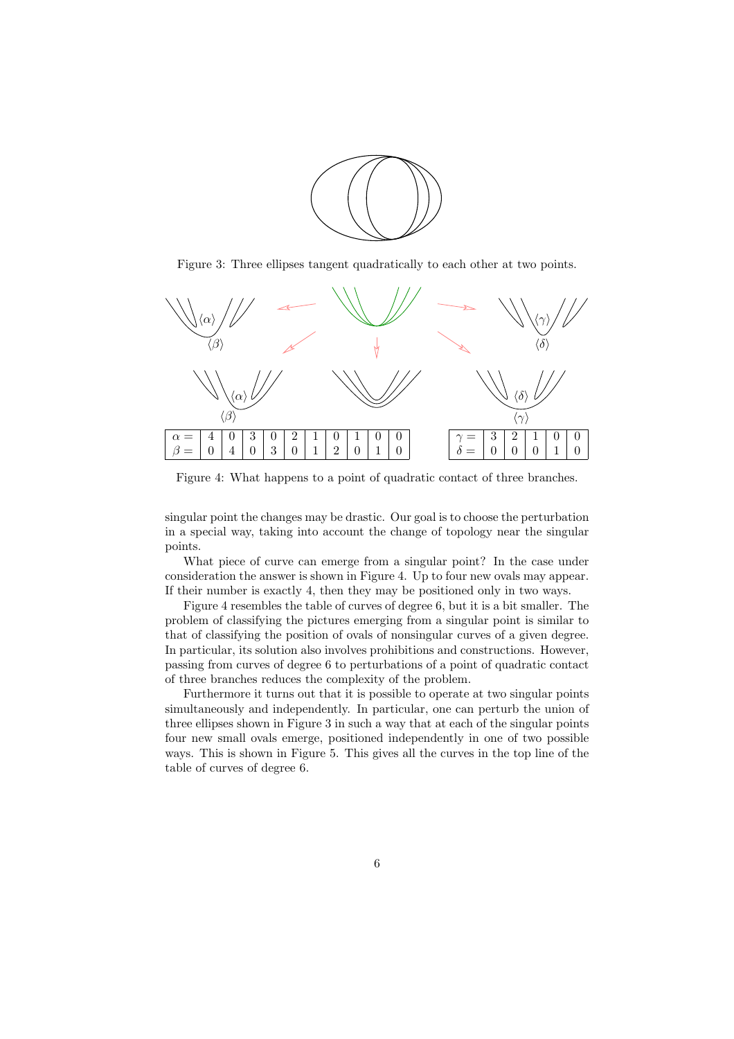

Figure 3: Three ellipses tangent quadratically to each other at two points.



Figure 4: What happens to a point of quadratic contact of three branches.

singular point the changes may be drastic. Our goal is to choose the perturbation in a special way, taking into account the change of topology near the singular points.

What piece of curve can emerge from a singular point? In the case under consideration the answer is shown in Figure 4. Up to four new ovals may appear. If their number is exactly 4, then they may be positioned only in two ways.

Figure 4 resembles the table of curves of degree 6, but it is a bit smaller. The problem of classifying the pictures emerging from a singular point is similar to that of classifying the position of ovals of nonsingular curves of a given degree. In particular, its solution also involves prohibitions and constructions. However, passing from curves of degree 6 to perturbations of a point of quadratic contact of three branches reduces the complexity of the problem.

Furthermore it turns out that it is possible to operate at two singular points simultaneously and independently. In particular, one can perturb the union of three ellipses shown in Figure 3 in such a way that at each of the singular points four new small ovals emerge, positioned independently in one of two possible ways. This is shown in Figure 5. This gives all the curves in the top line of the table of curves of degree 6.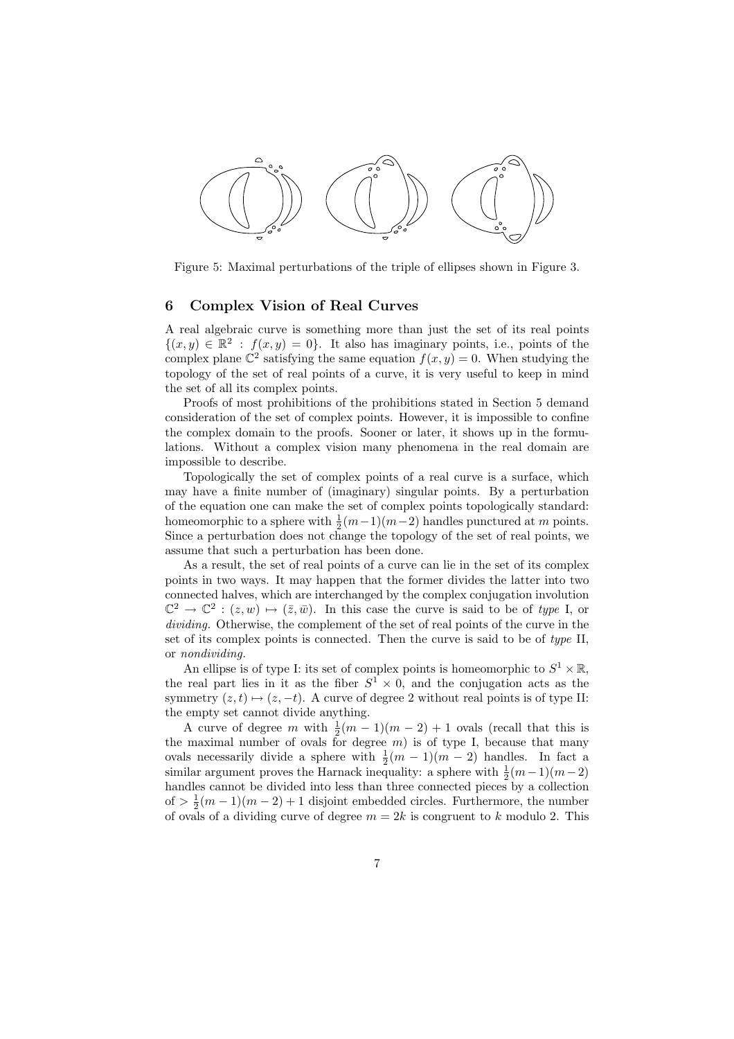

Figure 5: Maximal perturbations of the triple of ellipses shown in Figure 3.

## 6 Complex Vision of Real Curves

A real algebraic curve is something more than just the set of its real points  $\{(x, y) \in \mathbb{R}^2 : f(x, y) = 0\}$ . It also has imaginary points, i.e., points of the complex plane  $\mathbb{C}^2$  satisfying the same equation  $f(x, y) = 0$ . When studying the topology of the set of real points of a curve, it is very useful to keep in mind the set of all its complex points.

Proofs of most prohibitions of the prohibitions stated in Section 5 demand consideration of the set of complex points. However, it is impossible to confine the complex domain to the proofs. Sooner or later, it shows up in the formulations. Without a complex vision many phenomena in the real domain are impossible to describe.

Topologically the set of complex points of a real curve is a surface, which may have a finite number of (imaginary) singular points. By a perturbation of the equation one can make the set of complex points topologically standard: homeomorphic to a sphere with  $\frac{1}{2}(m-1)(m-2)$  handles punctured at m points. Since a perturbation does not change the topology of the set of real points, we assume that such a perturbation has been done.

As a result, the set of real points of a curve can lie in the set of its complex points in two ways. It may happen that the former divides the latter into two connected halves, which are interchanged by the complex conjugation involution  $\mathbb{C}^2 \to \mathbb{C}^2 : (z,w) \mapsto (\bar{z}, \bar{w})$ . In this case the curve is said to be of type I, or dividing. Otherwise, the complement of the set of real points of the curve in the set of its complex points is connected. Then the curve is said to be of type II, or nondividing.

An ellipse is of type I: its set of complex points is homeomorphic to  $S^1 \times \mathbb{R}$ , the real part lies in it as the fiber  $S^1 \times 0$ , and the conjugation acts as the symmetry  $(z, t) \mapsto (z, -t)$ . A curve of degree 2 without real points is of type II: the empty set cannot divide anything.

A curve of degree m with  $\frac{1}{2}(m-1)(m-2)+1$  ovals (recall that this is the maximal number of ovals for degree  $m$ ) is of type I, because that many ovals necessarily divide a sphere with  $\frac{1}{2}(m-1)(m-2)$  handles. In fact a similar argument proves the Harnack inequality: a sphere with  $\frac{1}{2}(m-1)(m-2)$ handles cannot be divided into less than three connected pieces by a collection of  $> \frac{1}{2}(m-1)(m-2) + 1$  disjoint embedded circles. Furthermore, the number of ovals of a dividing curve of degree  $m = 2k$  is congruent to k modulo 2. This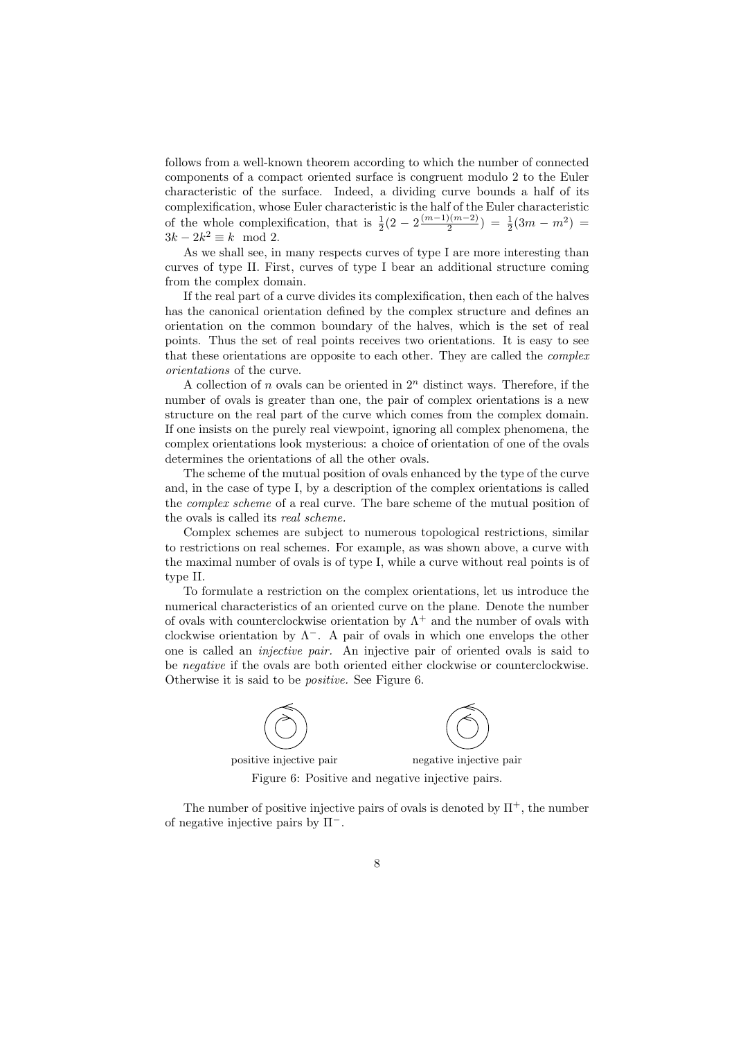follows from a well-known theorem according to which the number of connected components of a compact oriented surface is congruent modulo 2 to the Euler characteristic of the surface. Indeed, a dividing curve bounds a half of its complexification, whose Euler characteristic is the half of the Euler characteristic of the whole complexification, that is  $\frac{1}{2}(2-2^{\frac{(m-1)(m-2)}{2}})$  $\frac{1}{2} \left(3m - m^2\right) = \frac{1}{2}(3m - m^2)$  $3k - 2k^2 \equiv k \mod 2$ .

As we shall see, in many respects curves of type I are more interesting than curves of type II. First, curves of type I bear an additional structure coming from the complex domain.

If the real part of a curve divides its complexification, then each of the halves has the canonical orientation defined by the complex structure and defines an orientation on the common boundary of the halves, which is the set of real points. Thus the set of real points receives two orientations. It is easy to see that these orientations are opposite to each other. They are called the complex orientations of the curve.

A collection of n ovals can be oriented in  $2<sup>n</sup>$  distinct ways. Therefore, if the number of ovals is greater than one, the pair of complex orientations is a new structure on the real part of the curve which comes from the complex domain. If one insists on the purely real viewpoint, ignoring all complex phenomena, the complex orientations look mysterious: a choice of orientation of one of the ovals determines the orientations of all the other ovals.

The scheme of the mutual position of ovals enhanced by the type of the curve and, in the case of type I, by a description of the complex orientations is called the complex scheme of a real curve. The bare scheme of the mutual position of the ovals is called its real scheme.

Complex schemes are subject to numerous topological restrictions, similar to restrictions on real schemes. For example, as was shown above, a curve with the maximal number of ovals is of type I, while a curve without real points is of type II.

To formulate a restriction on the complex orientations, let us introduce the numerical characteristics of an oriented curve on the plane. Denote the number of ovals with counterclockwise orientation by  $\Lambda^+$  and the number of ovals with clockwise orientation by  $\Lambda^-$ . A pair of ovals in which one envelops the other one is called an injective pair. An injective pair of oriented ovals is said to be negative if the ovals are both oriented either clockwise or counterclockwise. Otherwise it is said to be positive. See Figure 6.



The number of positive injective pairs of ovals is denoted by  $\Pi^+$ , the number of negative injective pairs by  $\Pi^-$ .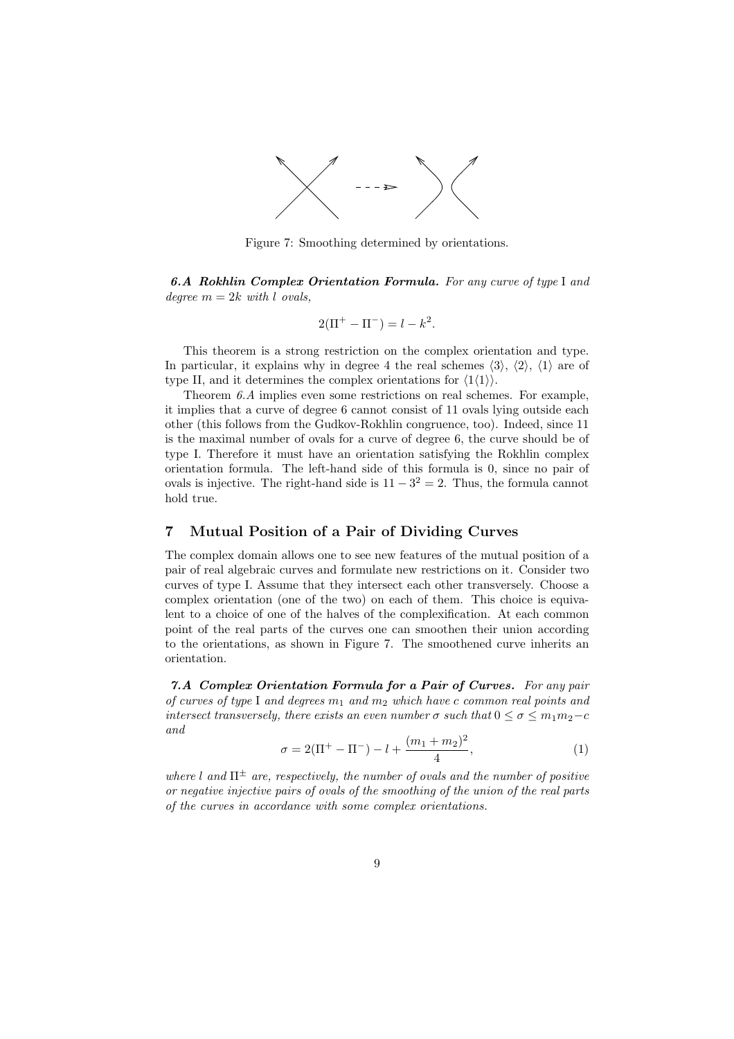

Figure 7: Smoothing determined by orientations.

6.A Rokhlin Complex Orientation Formula. For any curve of type I and degree  $m = 2k$  with l ovals,

$$
2(\Pi^{+} - \Pi^{-}) = l - k^{2}.
$$

This theorem is a strong restriction on the complex orientation and type. In particular, it explains why in degree 4 the real schemes  $\langle 3 \rangle$ ,  $\langle 2 \rangle$ ,  $\langle 1 \rangle$  are of type II, and it determines the complex orientations for  $\langle 1 \langle 1 \rangle \rangle$ .

Theorem 6.A implies even some restrictions on real schemes. For example, it implies that a curve of degree 6 cannot consist of 11 ovals lying outside each other (this follows from the Gudkov-Rokhlin congruence, too). Indeed, since 11 is the maximal number of ovals for a curve of degree 6, the curve should be of type I. Therefore it must have an orientation satisfying the Rokhlin complex orientation formula. The left-hand side of this formula is 0, since no pair of ovals is injective. The right-hand side is  $11 - 3^2 = 2$ . Thus, the formula cannot hold true.

## 7 Mutual Position of a Pair of Dividing Curves

The complex domain allows one to see new features of the mutual position of a pair of real algebraic curves and formulate new restrictions on it. Consider two curves of type I. Assume that they intersect each other transversely. Choose a complex orientation (one of the two) on each of them. This choice is equivalent to a choice of one of the halves of the complexification. At each common point of the real parts of the curves one can smoothen their union according to the orientations, as shown in Figure 7. The smoothened curve inherits an orientation.

7.A Complex Orientation Formula for a Pair of Curves. For any pair of curves of type I and degrees  $m_1$  and  $m_2$  which have c common real points and intersect transversely, there exists an even number  $\sigma$  such that  $0 \le \sigma \le m_1 m_2 - c$ and

$$
\sigma = 2(\Pi^{+} - \Pi^{-}) - l + \frac{(m_1 + m_2)^2}{4},\tag{1}
$$

where l and  $\Pi^{\pm}$  are, respectively, the number of ovals and the number of positive or negative injective pairs of ovals of the smoothing of the union of the real parts of the curves in accordance with some complex orientations.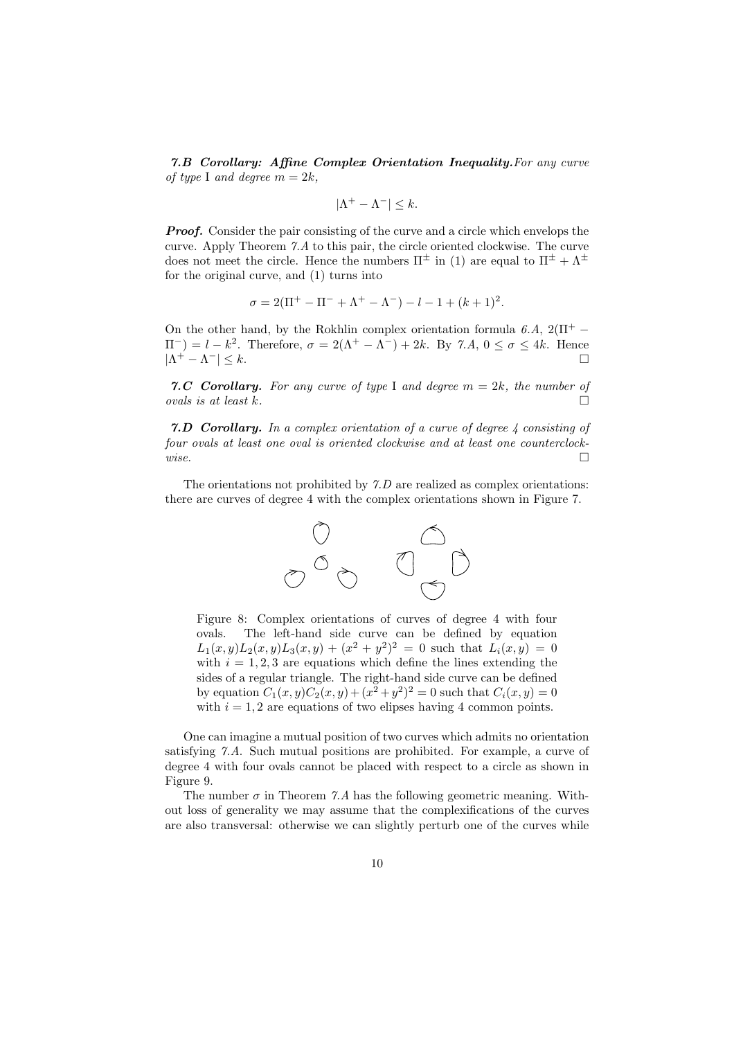7.B Corollary: Affine Complex Orientation Inequality.For any curve of type I and degree  $m = 2k$ ,

$$
|\Lambda^+ - \Lambda^-| \leq k.
$$

**Proof.** Consider the pair consisting of the curve and a circle which envelops the curve. Apply Theorem 7.A to this pair, the circle oriented clockwise. The curve does not meet the circle. Hence the numbers  $\Pi^{\pm}$  in (1) are equal to  $\Pi^{\pm} + \Lambda^{\pm}$ for the original curve, and (1) turns into

$$
\sigma = 2(\Pi^{+} - \Pi^{-} + \Lambda^{+} - \Lambda^{-}) - l - 1 + (k+1)^{2}.
$$

On the other hand, by the Rokhlin complex orientation formula 6.A,  $2(\Pi^+ \Pi^{-}$ ) =  $l - k^2$ . Therefore,  $\sigma = 2(\Lambda^{+} - \Lambda^{-}) + 2k$ . By 7.A,  $0 \le \sigma \le 4k$ . Hence  $|\Lambda^+ - \Lambda^-| \leq k.$ 

7.C Corollary. For any curve of type I and degree  $m = 2k$ , the number of ovals is at least k.  $\Box$ 

**7.D Corollary.** In a complex orientation of a curve of degree  $\lambda$  consisting of four ovals at least one oval is oriented clockwise and at least one counterclock $wise.$ 

The orientations not prohibited by 7.D are realized as complex orientations: there are curves of degree 4 with the complex orientations shown in Figure 7.



Figure 8: Complex orientations of curves of degree 4 with four ovals. The left-hand side curve can be defined by equation  $L_1(x,y)L_2(x,y)L_3(x,y) + (x^2 + y^2)^2 = 0$  such that  $L_i(x,y) = 0$ with  $i = 1, 2, 3$  are equations which define the lines extending the sides of a regular triangle. The right-hand side curve can be defined by equation  $C_1(x, y)C_2(x, y) + (x^2 + y^2)^2 = 0$  such that  $C_i(x, y) = 0$ with  $i = 1, 2$  are equations of two elipses having 4 common points.

One can imagine a mutual position of two curves which admits no orientation satisfying 7.A. Such mutual positions are prohibited. For example, a curve of degree 4 with four ovals cannot be placed with respect to a circle as shown in Figure 9.

The number  $\sigma$  in Theorem 7.A has the following geometric meaning. Without loss of generality we may assume that the complexifications of the curves are also transversal: otherwise we can slightly perturb one of the curves while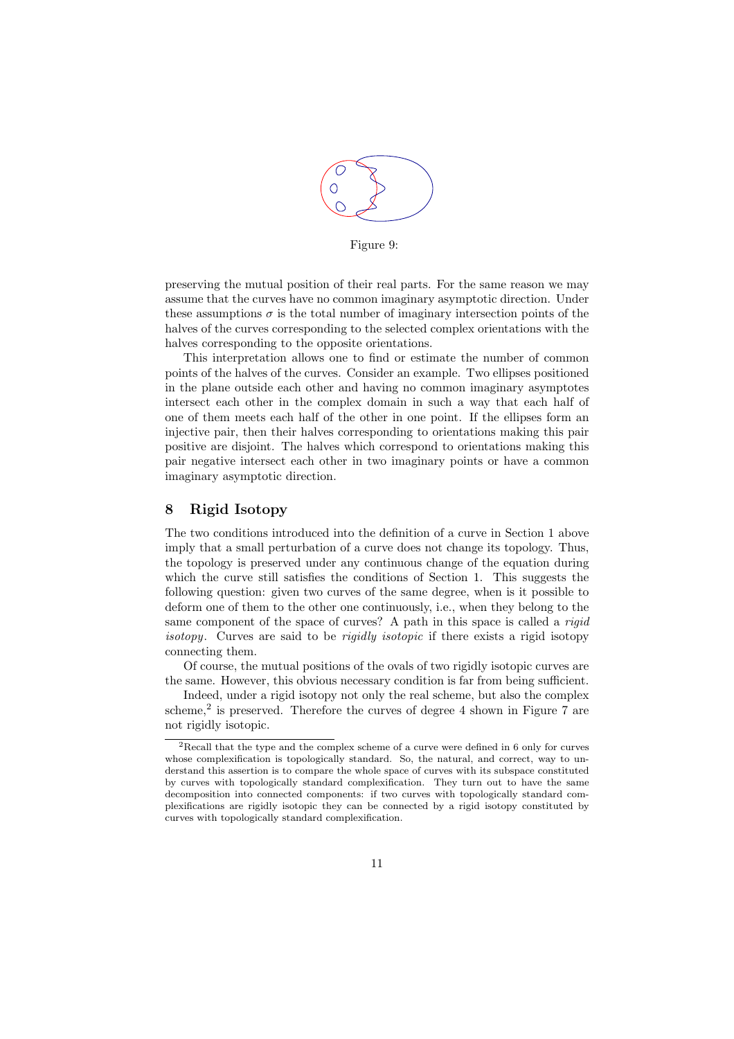

Figure 9:

preserving the mutual position of their real parts. For the same reason we may assume that the curves have no common imaginary asymptotic direction. Under these assumptions  $\sigma$  is the total number of imaginary intersection points of the halves of the curves corresponding to the selected complex orientations with the halves corresponding to the opposite orientations.

This interpretation allows one to find or estimate the number of common points of the halves of the curves. Consider an example. Two ellipses positioned in the plane outside each other and having no common imaginary asymptotes intersect each other in the complex domain in such a way that each half of one of them meets each half of the other in one point. If the ellipses form an injective pair, then their halves corresponding to orientations making this pair positive are disjoint. The halves which correspond to orientations making this pair negative intersect each other in two imaginary points or have a common imaginary asymptotic direction.

## 8 Rigid Isotopy

The two conditions introduced into the definition of a curve in Section 1 above imply that a small perturbation of a curve does not change its topology. Thus, the topology is preserved under any continuous change of the equation during which the curve still satisfies the conditions of Section 1. This suggests the following question: given two curves of the same degree, when is it possible to deform one of them to the other one continuously, i.e., when they belong to the same component of the space of curves? A path in this space is called a *rigid* isotopy. Curves are said to be *rigidly isotopic* if there exists a rigid isotopy connecting them.

Of course, the mutual positions of the ovals of two rigidly isotopic curves are the same. However, this obvious necessary condition is far from being sufficient.

Indeed, under a rigid isotopy not only the real scheme, but also the complex scheme,<sup>2</sup> is preserved. Therefore the curves of degree 4 shown in Figure 7 are not rigidly isotopic.

<sup>2</sup>Recall that the type and the complex scheme of a curve were defined in 6 only for curves whose complexification is topologically standard. So, the natural, and correct, way to understand this assertion is to compare the whole space of curves with its subspace constituted by curves with topologically standard complexification. They turn out to have the same decomposition into connected components: if two curves with topologically standard complexifications are rigidly isotopic they can be connected by a rigid isotopy constituted by curves with topologically standard complexification.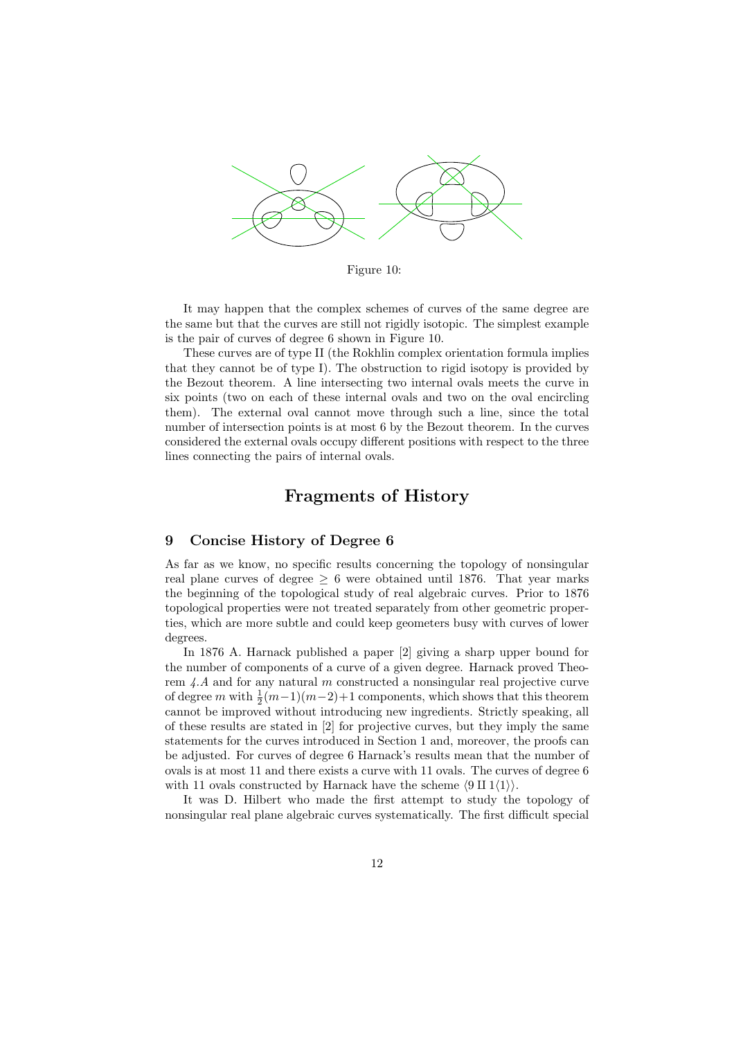

Figure 10:

It may happen that the complex schemes of curves of the same degree are the same but that the curves are still not rigidly isotopic. The simplest example is the pair of curves of degree 6 shown in Figure 10.

These curves are of type II (the Rokhlin complex orientation formula implies that they cannot be of type I). The obstruction to rigid isotopy is provided by the Bezout theorem. A line intersecting two internal ovals meets the curve in six points (two on each of these internal ovals and two on the oval encircling them). The external oval cannot move through such a line, since the total number of intersection points is at most 6 by the Bezout theorem. In the curves considered the external ovals occupy different positions with respect to the three lines connecting the pairs of internal ovals.

## Fragments of History

#### 9 Concise History of Degree 6

As far as we know, no specific results concerning the topology of nonsingular real plane curves of degree  $\geq 6$  were obtained until 1876. That year marks the beginning of the topological study of real algebraic curves. Prior to 1876 topological properties were not treated separately from other geometric properties, which are more subtle and could keep geometers busy with curves of lower degrees.

In 1876 A. Harnack published a paper [2] giving a sharp upper bound for the number of components of a curve of a given degree. Harnack proved Theorem  $4.A$  and for any natural m constructed a nonsingular real projective curve of degree m with  $\frac{1}{2}(m-1)(m-2)+1$  components, which shows that this theorem cannot be improved without introducing new ingredients. Strictly speaking, all of these results are stated in [2] for projective curves, but they imply the same statements for the curves introduced in Section 1 and, moreover, the proofs can be adjusted. For curves of degree 6 Harnack's results mean that the number of ovals is at most 11 and there exists a curve with 11 ovals. The curves of degree 6 with 11 ovals constructed by Harnack have the scheme  $\langle 9 \text{ II } 1 \langle 1 \rangle \rangle$ .

It was D. Hilbert who made the first attempt to study the topology of nonsingular real plane algebraic curves systematically. The first difficult special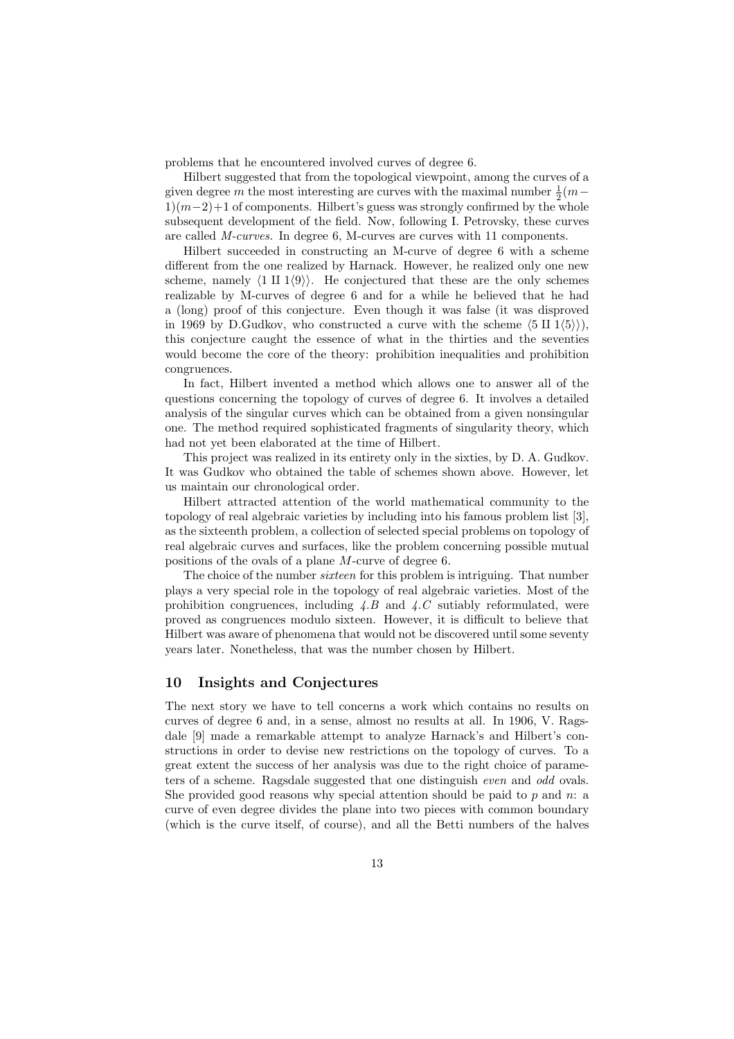problems that he encountered involved curves of degree 6.

Hilbert suggested that from the topological viewpoint, among the curves of a given degree m the most interesting are curves with the maximal number  $\frac{1}{2}(m 1\,(m-2)+1$  of components. Hilbert's guess was strongly confirmed by the whole subsequent development of the field. Now, following I. Petrovsky, these curves are called M-curves. In degree 6, M-curves are curves with 11 components.

Hilbert succeeded in constructing an M-curve of degree 6 with a scheme different from the one realized by Harnack. However, he realized only one new scheme, namely  $\langle 1 \amalg 1 \langle 9 \rangle \rangle$ . He conjectured that these are the only schemes realizable by M-curves of degree 6 and for a while he believed that he had a (long) proof of this conjecture. Even though it was false (it was disproved in 1969 by D.Gudkov, who constructed a curve with the scheme  $\langle 5 \text{ II } 1 \langle 5 \rangle \rangle$ , this conjecture caught the essence of what in the thirties and the seventies would become the core of the theory: prohibition inequalities and prohibition congruences.

In fact, Hilbert invented a method which allows one to answer all of the questions concerning the topology of curves of degree 6. It involves a detailed analysis of the singular curves which can be obtained from a given nonsingular one. The method required sophisticated fragments of singularity theory, which had not yet been elaborated at the time of Hilbert.

This project was realized in its entirety only in the sixties, by D. A. Gudkov. It was Gudkov who obtained the table of schemes shown above. However, let us maintain our chronological order.

Hilbert attracted attention of the world mathematical community to the topology of real algebraic varieties by including into his famous problem list [3], as the sixteenth problem, a collection of selected special problems on topology of real algebraic curves and surfaces, like the problem concerning possible mutual positions of the ovals of a plane M-curve of degree 6.

The choice of the number sixteen for this problem is intriguing. That number plays a very special role in the topology of real algebraic varieties. Most of the prohibition congruences, including  $\angle B$  and  $\angle C$  sutiably reformulated, were proved as congruences modulo sixteen. However, it is difficult to believe that Hilbert was aware of phenomena that would not be discovered until some seventy years later. Nonetheless, that was the number chosen by Hilbert.

#### 10 Insights and Conjectures

The next story we have to tell concerns a work which contains no results on curves of degree 6 and, in a sense, almost no results at all. In 1906, V. Ragsdale [9] made a remarkable attempt to analyze Harnack's and Hilbert's constructions in order to devise new restrictions on the topology of curves. To a great extent the success of her analysis was due to the right choice of parameters of a scheme. Ragsdale suggested that one distinguish even and odd ovals. She provided good reasons why special attention should be paid to  $p$  and  $n: a$ curve of even degree divides the plane into two pieces with common boundary (which is the curve itself, of course), and all the Betti numbers of the halves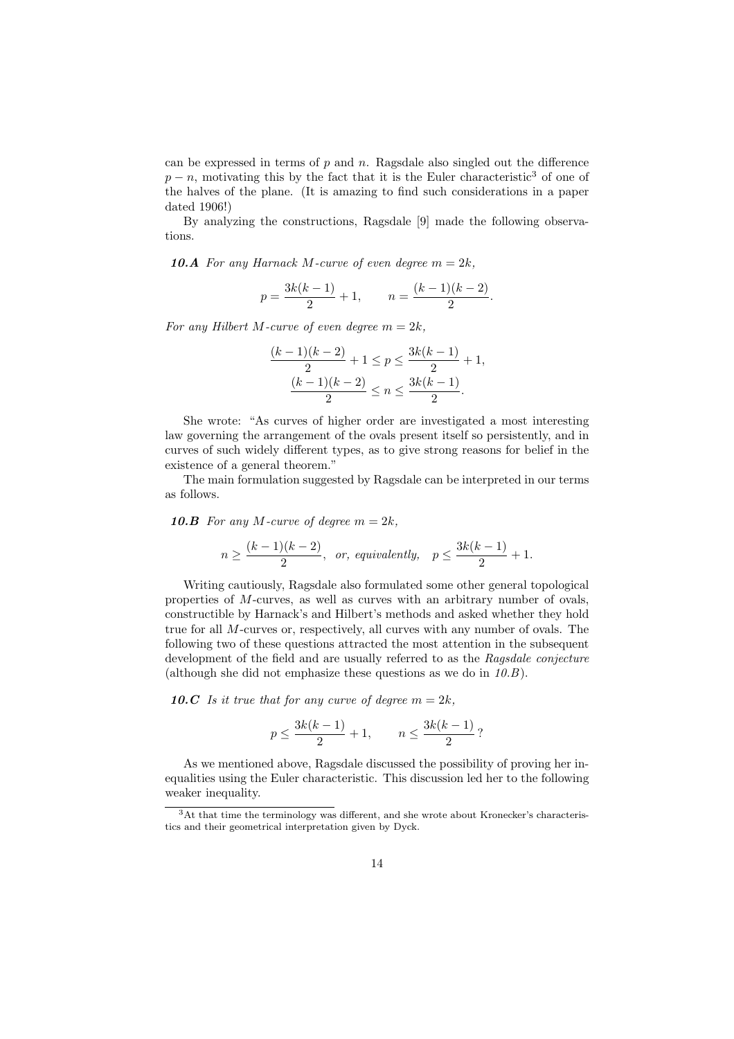can be expressed in terms of  $p$  and  $n$ . Ragsdale also singled out the difference  $p - n$ , motivating this by the fact that it is the Euler characteristic<sup>3</sup> of one of the halves of the plane. (It is amazing to find such considerations in a paper dated 1906!)

By analyzing the constructions, Ragsdale [9] made the following observations.

**10.A** For any Harnack M-curve of even degree  $m = 2k$ ,

$$
p = \frac{3k(k-1)}{2} + 1, \qquad n = \frac{(k-1)(k-2)}{2}.
$$

For any Hilbert M-curve of even degree  $m = 2k$ ,

$$
\frac{(k-1)(k-2)}{2} + 1 \le p \le \frac{3k(k-1)}{2} + 1,
$$

$$
\frac{(k-1)(k-2)}{2} \le n \le \frac{3k(k-1)}{2}.
$$

She wrote: "As curves of higher order are investigated a most interesting law governing the arrangement of the ovals present itself so persistently, and in curves of such widely different types, as to give strong reasons for belief in the existence of a general theorem."

The main formulation suggested by Ragsdale can be interpreted in our terms as follows.

10.B For any M-curve of degree  $m = 2k$ ,

$$
n \ge \frac{(k-1)(k-2)}{2}, \text{ or, equivalently, } p \le \frac{3k(k-1)}{2} + 1.
$$

Writing cautiously, Ragsdale also formulated some other general topological properties of M-curves, as well as curves with an arbitrary number of ovals, constructible by Harnack's and Hilbert's methods and asked whether they hold true for all M-curves or, respectively, all curves with any number of ovals. The following two of these questions attracted the most attention in the subsequent development of the field and are usually referred to as the Ragsdale conjecture (although she did not emphasize these questions as we do in  $10.B$ ).

10.C Is it true that for any curve of degree  $m = 2k$ ,

$$
p \le \frac{3k(k-1)}{2} + 1, \qquad n \le \frac{3k(k-1)}{2} ?
$$

As we mentioned above, Ragsdale discussed the possibility of proving her inequalities using the Euler characteristic. This discussion led her to the following weaker inequality.

<sup>3</sup>At that time the terminology was different, and she wrote about Kronecker's characteristics and their geometrical interpretation given by Dyck.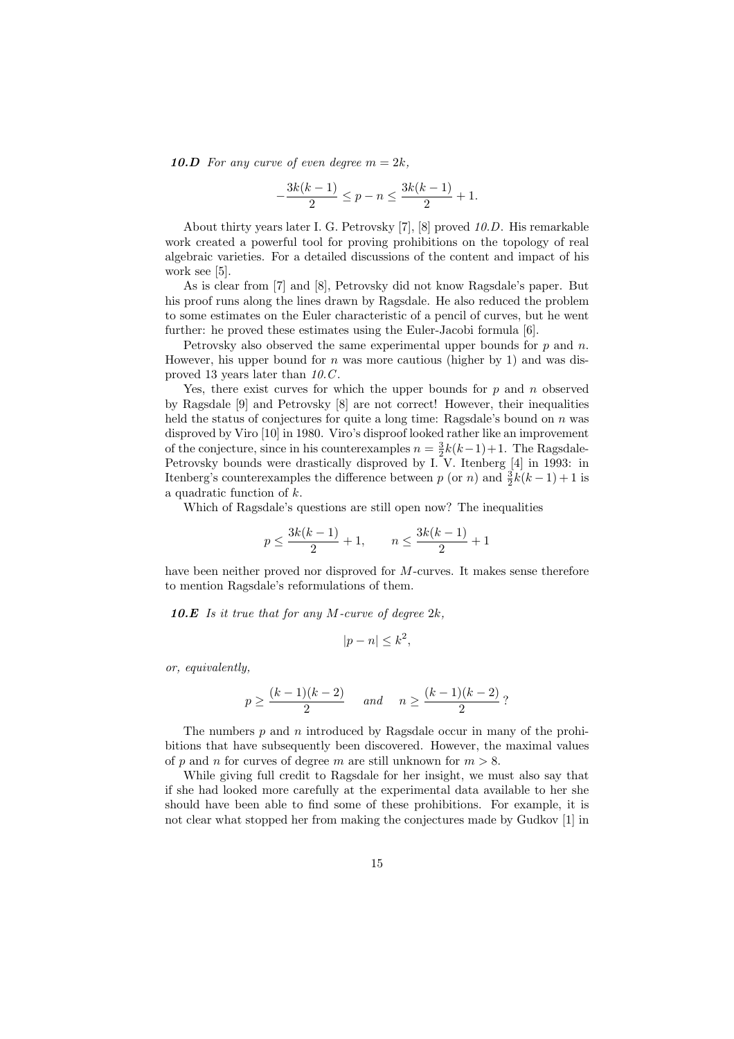10.D For any curve of even degree  $m = 2k$ ,

$$
-\frac{3k(k-1)}{2} \le p - n \le \frac{3k(k-1)}{2} + 1.
$$

About thirty years later I. G. Petrovsky [7], [8] proved 10.D. His remarkable work created a powerful tool for proving prohibitions on the topology of real algebraic varieties. For a detailed discussions of the content and impact of his work see [5].

As is clear from [7] and [8], Petrovsky did not know Ragsdale's paper. But his proof runs along the lines drawn by Ragsdale. He also reduced the problem to some estimates on the Euler characteristic of a pencil of curves, but he went further: he proved these estimates using the Euler-Jacobi formula [6].

Petrovsky also observed the same experimental upper bounds for  $p$  and  $n$ . However, his upper bound for  $n$  was more cautious (higher by 1) and was disproved 13 years later than 10.C.

Yes, there exist curves for which the upper bounds for  $p$  and  $n$  observed by Ragsdale [9] and Petrovsky [8] are not correct! However, their inequalities held the status of conjectures for quite a long time: Ragsdale's bound on  $n$  was disproved by Viro [10] in 1980. Viro's disproof looked rather like an improvement of the conjecture, since in his counterexamples  $n = \frac{3}{2}k(k-1)+1$ . The Ragsdale-Petrovsky bounds were drastically disproved by I. V. Itenberg [4] in 1993: in Itenberg's counterexamples the difference between p (or n) and  $\frac{3}{2}k(k-1)+1$  is a quadratic function of k.

Which of Ragsdale's questions are still open now? The inequalities

$$
p \le \frac{3k(k-1)}{2} + 1, \qquad n \le \frac{3k(k-1)}{2} + 1
$$

have been neither proved nor disproved for M-curves. It makes sense therefore to mention Ragsdale's reformulations of them.

10.E Is it true that for any M-curve of degree  $2k$ ,

$$
|p - n| \le k^2,
$$

or, equivalently,

$$
p \ge \frac{(k-1)(k-2)}{2}
$$
 and  $n \ge \frac{(k-1)(k-2)}{2}$ ?

The numbers  $p$  and  $n$  introduced by Ragsdale occur in many of the prohibitions that have subsequently been discovered. However, the maximal values of p and n for curves of degree m are still unknown for  $m > 8$ .

While giving full credit to Ragsdale for her insight, we must also say that if she had looked more carefully at the experimental data available to her she should have been able to find some of these prohibitions. For example, it is not clear what stopped her from making the conjectures made by Gudkov [1] in